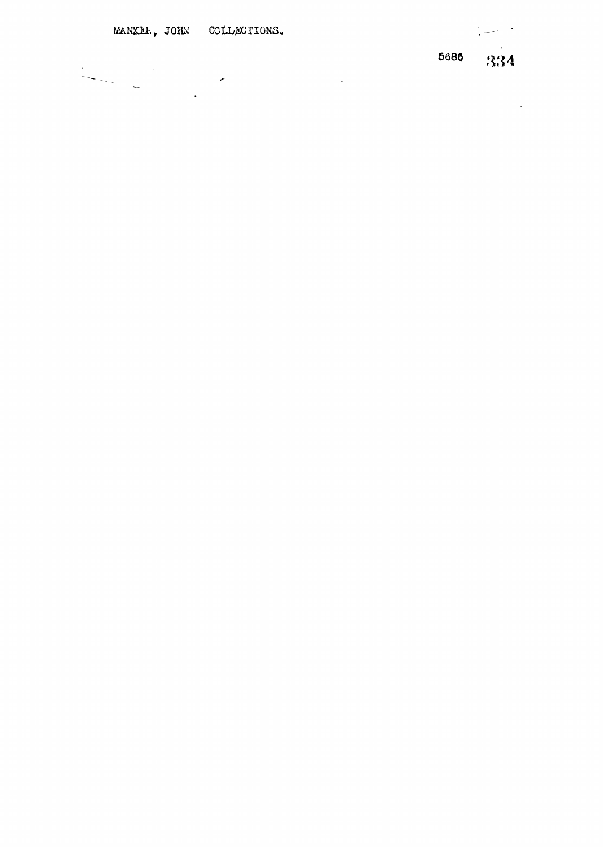$\ddot{\phantom{a}}$ 

 $\mathcal{L}^{\text{max}}_{\text{max}}$ 

 $\sim 10$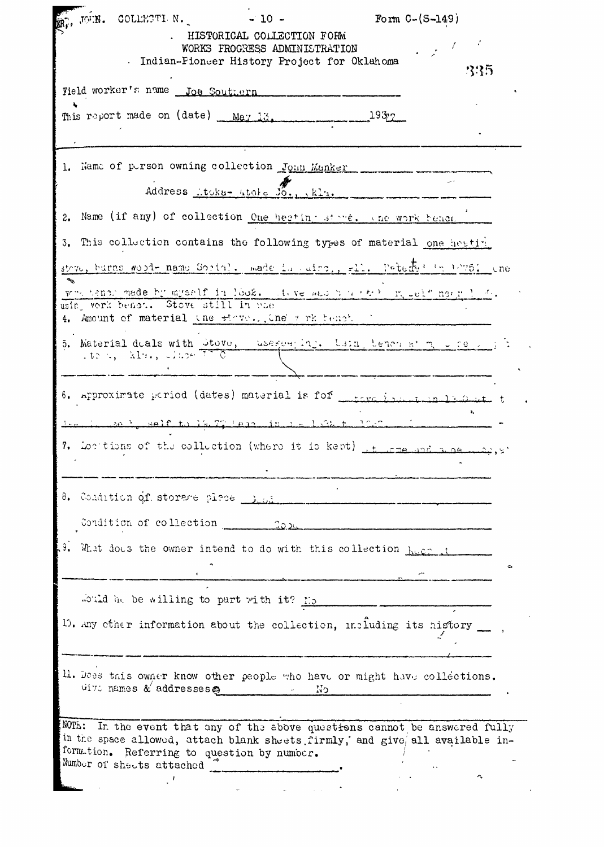|       | RR, JOHN. COLLEGTI N. |                                                                   | $\sim 10$ -                                                                                                                                                                                                                                                                                                           | Form $C - (S - 149)$     |                 |
|-------|-----------------------|-------------------------------------------------------------------|-----------------------------------------------------------------------------------------------------------------------------------------------------------------------------------------------------------------------------------------------------------------------------------------------------------------------|--------------------------|-----------------|
|       |                       |                                                                   | HISTORICAL COLLECTION FORM<br>WORKS FROGRESS ADMINISTRATION<br>. Indian-Pioncer History Project for Oklahoma                                                                                                                                                                                                          |                          | $\sim 1$<br>335 |
|       |                       | Field worker's name Joe Southern                                  |                                                                                                                                                                                                                                                                                                                       |                          |                 |
|       |                       | This report made on (date) May 13.                                |                                                                                                                                                                                                                                                                                                                       | $193_7$                  |                 |
|       |                       |                                                                   | 1. Name of person owning collection John Munker                                                                                                                                                                                                                                                                       |                          |                 |
|       |                       |                                                                   | Address Atoka- Atoka Jo., kla.                                                                                                                                                                                                                                                                                        |                          |                 |
| 2.    |                       |                                                                   | Name (if any) of collection One heating stare. the work benen                                                                                                                                                                                                                                                         |                          |                 |
|       |                       |                                                                   | 3. This collection contains the following types of material one heative                                                                                                                                                                                                                                               |                          |                 |
|       |                       |                                                                   | stave, burns wood- name Social. made in adre, the Patentes in 1875. one                                                                                                                                                                                                                                               |                          |                 |
|       |                       | usin vork benot. Stove still in whe                               | when tenal made by myself in look. As versus a nearly my gelf norm list.<br>4. Amount of material the stave. The wink tench                                                                                                                                                                                           |                          |                 |
|       |                       | , to $\sim$ , $\sim$ klass, without $\overline{1}$ $\overline{0}$ | 5. Material duals with btove, usespering. Using benchet me beepers                                                                                                                                                                                                                                                    |                          |                 |
|       |                       |                                                                   | 6. Approximate period (dates) material is for                                                                                                                                                                                                                                                                         | tore is well in 13 a set |                 |
|       |                       |                                                                   | Lee la conservat de la conservation de la conservation de la conservation de la conservation de la conservatio                                                                                                                                                                                                        |                          |                 |
|       |                       |                                                                   | 7. Locitions of the collection (where it is kept) it creamd superman, when                                                                                                                                                                                                                                            |                          |                 |
|       |                       |                                                                   | 8. Condition of storage place that we                                                                                                                                                                                                                                                                                 |                          |                 |
|       |                       |                                                                   | Condition of collection 2010                                                                                                                                                                                                                                                                                          |                          |                 |
|       |                       |                                                                   | 9. What does the owner intend to do with this collection $h_{\text{WCT}}$ , then                                                                                                                                                                                                                                      |                          |                 |
|       |                       |                                                                   | would be willing to part with it? Mo                                                                                                                                                                                                                                                                                  |                          |                 |
|       |                       |                                                                   | 10. Any other information about the collection, including its history                                                                                                                                                                                                                                                 |                          |                 |
|       |                       |                                                                   | Il. Does this owner know other people who have or might have collections.<br>Given names & addresses a contract of Mo                                                                                                                                                                                                 |                          |                 |
| NOTE: |                       |                                                                   | In the event that any of the above questions cannot be answered fully<br>in the space allowed, attach blank sheets firmly, and give all available in-<br>formation. Referring to question by number.<br>Number of sheets attached in the contract of the state of the state of the state of the state of the state of |                          |                 |
|       |                       |                                                                   |                                                                                                                                                                                                                                                                                                                       |                          |                 |